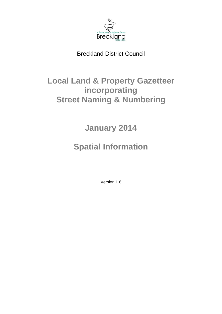

# Breckland District Council

# **Local Land & Property Gazetteer incorporating Street Naming & Numbering**

**January 2014** 

# **Spatial Information**

Version 1.8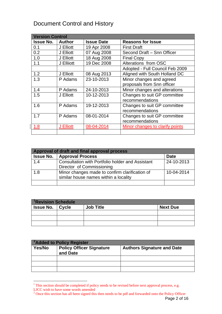# Document Control and History

| <b>Version Control</b> |               |                   |                                 |
|------------------------|---------------|-------------------|---------------------------------|
| <b>Issue No.</b>       | <b>Author</b> | <b>Issue Date</b> | <b>Reasons for Issue</b>        |
| 0.1                    | J Elliott     | 19 Apr 2008       | <b>First Draft</b>              |
| 0.2                    | J Elliott     | 07 Aug 2008       | Second Draft - Snn Officer      |
| 1.0                    | J Elliott     | 18 Aug 2008       | <b>Final Copy</b>               |
| 1.1                    | J Ellijott    | 19 Dec 2008       | Alterations from OSC            |
|                        |               |                   | Adopted - Full Council Feb 2009 |
| 1.2                    | J Elliott     | 08 Aug 2013       | Aligned with South Holland DC   |
| 1.3                    | P Adams       | 23-10-2013        | Minor changes and agreed        |
|                        |               |                   | proposals from Snn officer      |
| 1.4                    | P Adams       | 24-10-2013        | Minor changes and alterations   |
| 1.5                    | J Elliott     | 10-12-2013        | Changes to suit GP committee    |
|                        |               |                   | recommendations                 |
| 1.6                    | P Adams       | 19-12-2013        | Changes to suit GP committee    |
|                        |               |                   | recommendations                 |
| 1.7                    | P Adams       | 08-01-2014        | Changes to suit GP committee    |
|                        |               |                   | recommendations                 |
| 1.8                    | J Elliott     | 08-04-2014        | Minor changes to clarify points |
|                        |               |                   |                                 |

| Approval of draft and final approval process |                                                                                         |             |  |
|----------------------------------------------|-----------------------------------------------------------------------------------------|-------------|--|
| <b>Issue No.</b>                             | <b>Approval Process</b>                                                                 | <b>Date</b> |  |
| 1.4                                          | <b>Consultation with Portfolio holder and Assistant</b><br>Director of Commissioning    | 24-10-2013  |  |
| 1.8                                          | Minor changes made to confirm clarification of<br>similar house names within a locality | 10-04-2014  |  |
|                                              |                                                                                         |             |  |

| <sup>1</sup> Revision Schedule |  |                  |                 |
|--------------------------------|--|------------------|-----------------|
| <b>Issue No.</b>   Cycle       |  | <b>Job Title</b> | <b>Next Due</b> |
|                                |  |                  |                 |
|                                |  |                  |                 |
|                                |  |                  |                 |

| <sup>2</sup> Added to Policy Register |                                             |                                   |
|---------------------------------------|---------------------------------------------|-----------------------------------|
| Yes/No                                | <b>Policy Officer Signature</b><br>and Date | <b>Authors Signature and Date</b> |
|                                       |                                             |                                   |
|                                       |                                             |                                   |
|                                       |                                             |                                   |

<span id="page-1-0"></span><sup>&</sup>lt;sup>1</sup> This section should be completed if policy needs to be revised before next approval process, e.g.

LJCC wish to have some words amended  $\frac{2}{3}$  Onge this section bes all been gigand this

<span id="page-1-1"></span>Page 2 of 16 Once this section has all been signed this then needs to be pdf and forwarded onto the Policy Officer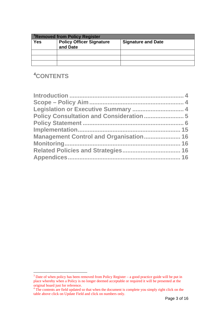| <sup>3</sup> Removed from Policy Register |                                             |                           |
|-------------------------------------------|---------------------------------------------|---------------------------|
| <b>Yes</b>                                | <b>Policy Officer Signature</b><br>and Date | <b>Signature and Date</b> |
|                                           |                                             |                           |
|                                           |                                             |                           |
|                                           |                                             |                           |

## [4](#page-2-1) **CONTENTS**

| <b>Management Control and Organisation 16</b> |  |
|-----------------------------------------------|--|
|                                               |  |
|                                               |  |
|                                               |  |

<span id="page-2-0"></span> $3$  Date of when policy has been removed from Policy Register – a good practice guide will be put in place whereby when a Policy is no longer deemed acceptable or required it will be presented at the

<span id="page-2-1"></span>original board just for reference.<br><sup>4</sup> The contents are field updated so that when the document is complete you simply right click on the table above click on Update Field and click on numbers only.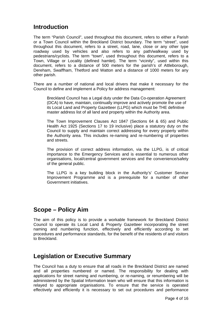### <span id="page-3-0"></span>**Introduction**

The term "Parish Council", used throughout this document, refers to either a Parish or a Town Council within the Breckland District boundary. The term "street", used throughout this document, refers to a street, road, lane, close or any other type roadway used by vehicles and also refers to any path/walkway used by pedestrians/cyclists. The term "town", used throughout this document, refers to a Town, Village or Locality (defined hamlet). The term "vicinity", used within this document, refers to a distance of 500 meters for the parish's of Attleborough, Dereham, Swaffham, Thetford and Watton and a distance of 1000 meters for any other parish.

There are a number of national and local drivers that make it necessary for the Council to define and implement a Policy for address management:

Breckland Council has a Legal duty under the Data Co-operation Agreement (DCA) to have, maintain, continually improve and actively promote the use of its Local Land and Property Gazetteer (LLPG) which must be THE definitive master address list of all land and property within the Authority area.

The Town Improvement Clauses Act 1847 (Sections 64 & 65) and Public Health Act 1925 (Sections 17 to 19 inclusive) place a statutory duty on the Council to supply and maintain correct addressing for every property within the Authority area. This includes re-naming and re-numbering of properties and streets.

The provision of correct address information, via the LLPG, is of critical importance to the Emergency Services and is essential to numerous other organisations, local/central government services and the convenience/safety of the general public.

The LLPG is a key building block in the Authority's' Customer Service Improvement Programme and is a prerequisite for a number of other Government initiatives.

### <span id="page-3-1"></span>**Scope – Policy Aim**

The aim of this policy is to provide a workable framework for Breckland District Council to operate its Local Land & Property Gazetteer incorporating the street naming and numbering function, effectively and efficiently according to set procedures and performance standards, for the benefit of the residents of and visitors to Breckland.

### <span id="page-3-2"></span>**Legislation or Executive Summary**

The Council has a duty to ensure that all roads in the Breckland District are named and all properties numbered or named. The responsibility for dealing with applications for street naming and numbering, or re-naming, or renumbering will be administered by the Spatial Information team who will ensure that this information is relayed to appropriate organisations. To ensure that the service is operated effectively and efficiently it is necessary to set out procedures and performance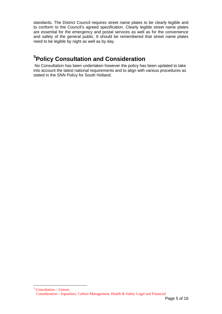standards. The District Council requires street name plates to be clearly legible and to conform to the Council's agreed specification. Clearly legible street name plates are essential for the emergency and postal services as well as for the convenience and safety of the general public. It should be remembered that street name plates need to be legible by night as well as by day.

# <span id="page-4-0"></span>**[5](#page-4-1) Policy Consultation and Consideration**

 No Consultation has been undertaken however the policy has been updated to take into account the latest national requirements and to align with various procedures as stated in the SNN Policy for South Holland.

<span id="page-4-1"></span> $\overline{a}$ 5 Consultation – Unison Consideration – Equalities, Carbon Management, Health & Safety Legal and Financial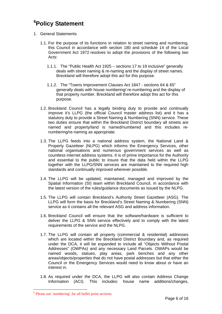# <span id="page-5-0"></span>**[6](#page-5-1) Policy Statement**

- 1. General Statements
	- 1.1. For the purpose of its functions in relation to street naming and numbering, this Council in accordance with section 180 and schedule 14 of the Local Government Act 1972 resolves to adopt the provisions of the following two Acts:
		- 1.1.1. The "Public Health Act 1925 sections 17 to 19 inclusive" generally deals with street naming & re-naming and the display of street names. Breckland will therefore adopt this act for this purpose.
		- 1.1.2. The "Towns Improvement Clauses Act 1847 sections 64 & 65" generally deals with house numbering/ re-numbering and the display of that property number. Breckland will therefore adopt this act for this purpose.
	- 1.2. Breckland Council has a legally binding duty to provide and continually improve it's LLPG (the official Council master address list) and it has a statutory duty to provide a Street Naming & Numbering (SNN) service. These two duties ensure that within the Breckland District boundary all streets are named and property/land is named/numbered and this includes renumbering/re-naming as appropriate.
	- 1.3. The LLPG feeds into a national address system, the National Land & Property Gazetteer (NLPG) which informs the Emergency Services, other national organisations and numerous government services as well as countless internet address systems. It is of prime importance for the Authority and essential to the public to insure that the data held within the LLPG together with the LLPG/SNN services are maintained to the required high standards and continually improved wherever possible.
	- 1.4. The LLPG will be updated, maintained, managed and improved by the Spatial Information (SI) team within Breckland Council, in accordance with the latest version of the rules/guidance documents as issued by the NLPG.
	- 1.5. The LLPG will contain Breckland's Authority Street Gazetteer (ASG). The LLPG will form the basis for Breckland's Street Naming & Numbering (SNN) service as it contains all the relevant ASG and address information.
	- 1.6. Breckland Council will ensure that the software/hardware is sufficient to deliver the LLPG & SNN service effectively and to comply with the latest requirements of the service and the NLPG.
	- 1.7. The LLPG will contain all property (commercial & residential) addresses which are located within the Breckland District Boundary and, as required under the DCA, it will be expanded to include all "Objects Without Postal Addresses" (OWPAs) and any necessary Land Parcels. OWAPs would be named woods, statues, play areas, park benches and any other areas/objects/properties that do not have postal addresses but that either the Council or the Emergency Services would need to know about or have an interest in.
	- 1.8. As required under the DCA, the LLPG will also contain Address Change Information (ACI). This includes: house name additions/changes,

 $\overline{a}$ 

<span id="page-5-1"></span><sup>6</sup> Please use 'numbering' for all bullet point sections.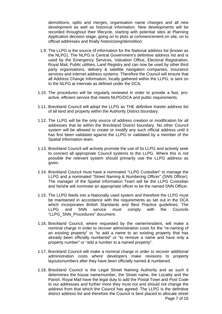demolitions, splits and merges, organisation name changes and all new development as well as historical information. New developments will be recorded throughout their lifecycle, starting with potential sites at Planning Application decision stage, going on to plots at commencement on site, on to official addresses and finally historicising/demolition.

- 1.9. The LLPG is the source of information for the National address list (known as the NLPG). The NLPG is Central Government's definitive address list and is used by the Emergency Services, Valuation Office, Electoral Registration, Royal Mail, Public utilities, Land Registry and can now be used by other third party organisations, delivery & satellite navigation companies, insurance services and internet address systems. Therefore the Council will ensure that all Address Change Information, locally gathered within the LLPG, is sent on to the NLPG at intervals as defined under the DCA.
- 1.10. The procedures will be regularly reviewed in order to provide a fast, proactive, efficient service that meets NLPG/DCA and public requirements.
- 1.11. Breckland Council will adopt the LLPG as THE definitive master address list of all land and property within the Authority District boundary.
- 1.12. The LLPG will be the only source of address creation or modification for all addresses that lie within the Breckland District boundary. No other Council system will be allowed to create or modify any such official address until it has first been validated against the LLPG or validated by a member of the Spatial Information team.
- 1.13. Breckland Council will actively promote the use of its LLPG and actively seek to connect all appropriate Council systems to the LLPG. Where this is not possible the relevant system should primarily use the LLPG address as given.
- 1.14. Breckland Council must have a nominated "LLPG Custodian" to manage the LLPG and a nominated "Street Naming & Numbering Officer" (SNN Officer). The manager of the Spatial Information Team will be the LLPG Custodian and he/she will nominate an appropriate officer to be the named SNN Officer.
- 1.15. The LLPG feeds into a Nationally used system and therefore the LLPG must be maintained in accordance with the requirements as set out in the DCA which incorporates British Standards and Best Practice guidelines. The LLPG and SNN service must comply with the Councils "LLPG\_SNN\_Procedures" document.
- 1.16. Breckland Council, where requested by the owner/resident, will make a nominal charge in order to recover administration costs for the "re-naming of an existing property" or "to add a name to an existing property that has already been officially numbered" or "to remove a name and have only a property number" or "add a number to a named property".
- 1.17. Breckland Council will make a nominal charge in order to recover additional administration costs where developers make revisions to property layouts/numbers after they have been officially named & numbered.
- Page 7 of 16 1.18. Breckland Council is the Legal Street Naming Authority and as such it determines the house name/number, the Street name, the Locality and the Parish. Royal Mail have the legal duty to add the Postal Town and Post Code to our addresses and further more they must not and should not change the address from that which the Council has agreed. The LLPG is the definitive district address list and therefore the Council is best placed to allocate street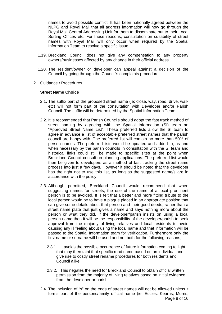names to avoid possible conflict. It has been nationally agreed between the NLPG and Royal Mail that all address information will now go through the Royal Mail Central Addressing Unit for them to disseminate out to their Local Sorting Offices etc. For these reasons, consultation on suitability of street names with Royal Mail will only occur when required by the Spatial Information Team to resolve a specific issue.

- 1.19. Breckland Council does not give any compensation to any property owners/businesses affected by any change in their official address.
- 1.20. The resident/owner or developer can appeal against a decision of the Council by going through the Council's complaints procedure.
- 2. Guidance / Procedures

#### **Street Name Choice**

- 2.1. The suffix part of the proposed street name (ie; close, way, road, drive, walk etc) will not form part of the consultation with Developer and/or Parish Council. The suffix will be determined by the Spatial Information Team.
- 2.2. It is recommended that Parish Councils should adopt the fast track method of street naming by agreeing with the Spatial Information (SI) team an "Approved Street Name List". These preferred lists allow the SI team to agree in advance a list of acceptable preferred street names that the parish council are happy with. The preferred list will contain no more than 50% of person names. The preferred lists would be updated and added to, as and when necessary by the parish councils in consultation with the SI team and historical links could still be made to specific sites at the point when Breckland Council consult on planning applications. The preferred list would then be given to developers as a method of fast tracking the street name process into just a few days. However it should be noted that the developer has the right not to use this list, as long as the suggested name/s are in accordance with the policy.
- 2.3. Although permitted, Breckland Council would recommend that when suggesting names for streets, the use of the name of a local prominent person is to be avoided. It is felt that a better and more fitting tribute to the local person would be to have a plaque placed in an appropriate position that can give some details about that person and their good deeds, rather than a street name plate that just gives a name and says nothing more about the person or what they did. If the developer/parish insists on using a local person name then it will be the responsibility of the developer/parish to seek approval from the majority of living relatives and local residents to avoid causing any ill feeling about using the local name and that information will be passed to the Spatial Information team for verification. Furthermore only the first name or surname will be used and not both for the following reasons;
	- 2.3.1. It avoids the possible occurrence of future information coming to light that may then taint that specific road name based on an individual and give rise to costly street rename procedures for both residents and Council alike.
	- 2.3.2. This negates the need for Breckland Council to obtain official written permission from the majority of living relatives based on initial evidence from the developer or parish.
- Page 8 of 16 2.4. The inclusion of "s" on the ends of street names will not be allowed unless it forms part of the persons/family official name (ie; Eccles, Kearns, Morris,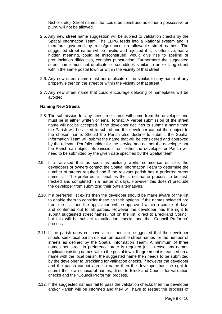Nicholls etc). Street names that could be construed as either a possessive or plural will not be allowed.

- 2.5. Any new street name suggestion will be subject to validation checks by the Spatial Information Team. The LLPG feeds into a National system and is therefore governed by rules/guidance on allowable street names. The suggested street name will be invalid and rejected if it; is offensive, has a hidden meaning, could be misconstrued, would give rise to spelling or pronunciation difficulties, contains punctuation. Furthermore the suggested street name must not duplicate or sound/look similar to an existing street within the same postal town or within the vicinity of that street.
- 2.6. Any new street name must not duplicate or be similar to any name of any property either on the street or within the vicinity of that street.
- 2.7. Any new street name that could encourage defacing of nameplates will be avoided.

#### **Naming New Streets**

- 2.8. The submission for any new street name will come from the developer and must be in either written or email format. A verbal submission of the street name will not be accepted. If the developer declines to submit a name then the Parish will be asked to submit and the developer cannot then object to the chosen name. Should the Parish also decline to submit, the Spatial Information Team will submit the name that will be considered and approved by the relevant Portfolio holder for the service and neither the developer nor the Parish can object. Submission from either the developer or Parish will need to be submitted by the given date specified by the Spatial team.
- 2.9. It is advised that as soon as building works commence on site, the developers or owners contact the Spatial Information Team to determine the number of streets required and if the relevant parish has a preferred street name list. The preferred list enables the street name process to be fasttracked and completed in a matter of days. However this doesn't preclude the developer from submitting their own alternatives.
- 2.10. If a preferred list exists then the developer should be made aware of the list to enable them to consider these as their options. If the names selected are from the list, then the application will be approved within a couple of days and confirmed out to all parties. However the developer has the right to submit suggested street names, not on the list, direct to Breckland Council but this will be subject to validation checks and the "Council Proforma" process.
- 2.11. If the parish does not have a list, then it is suggested that the developer should seek local parish opinion on possible street names for the number of streets as defined by the Spatial Information Team. A minimum of three names per street in preference order is required just in case any names duplicate existing names within the postal town. If agreement is reached on a name with the local parish, the suggested name then needs to be submitted by the developer to Breckland for validation checks. If however the developer and the parish cannot agree a name then the developer has the right to submit their own choice of names, direct to Breckland Council for validation checks and the "Council Proforma" process.
- 2.12. If the suggested name/s fail to pass the validation checks then the developer and/or Parish will be informed and they will have to restart the process of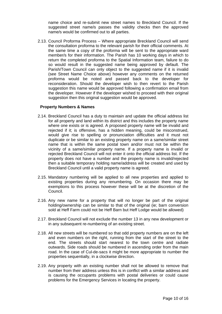name choice and re-submit new street names to Breckland Council. If the suggested street name/s passes the validity checks then the approved name/s would be confirmed out to all parties.

2.13. Council Proforma Process – Where appropriate Breckland Council will send the consultation proforma to the relevant parish for their official comments. At the same time a copy of the proforma will be sent to the appropriate ward member/s for their information. The Parish has 10 working days in which to return the completed proforma to the Spatial Information team, failure to do so would result in the suggested name being approved by default. The Parish/Town Council can only object to the suggested name if it is invalid (see Street Name Choice above) however any comments on the returned proforma would be noted and passed back to the developer for reconsideration. Should the developer wish to then revert to the Parish suggestion this name would be approved following a confirmation email from the developer. However if the developer wished to proceed with their original suggestion then this original suggestion would be approved.

#### **Property Numbers & Names**

- 2.14. Breckland Council has a duty to maintain and update the official address list for all property and land within its district and this includes the property name where one exists or is agreed. A proposed property name will be invalid and rejected if it; is offensive, has a hidden meaning, could be misconstrued, would give rise to spelling or pronunciation difficulties and it must not duplicate or be similar to an existing property name on a same/similar street name that is within the same postal town and/or must not be within the vicinity of a same/similar property name. If a property name is invalid or rejected Breckland Council will not enter it onto the official address list. If the property does not have a number and the property name is invalid/rejected then a suitable temporary holding name/address will be created and used by Breckland Council until a valid property name is agreed.
- 2.15. Mandatory numbering will be applied to all new properties and applied to existing properties during any renumbering. On occasion there may be exemptions to this process however these will be at the discretion of the Council.
- 2.16. Any new name for a property that will no longer be part of the original holding/ownership can be similar to that of the original (ie; barn conversion sold at Heff Farm could not be Heff Barn but Heff Lodge would be allowed)
- 2.17. Breckland Council will not exclude the number 13 in any new development or in any subsequent re-numbering of an existing street.
- 2.18. All new streets will be numbered so that odd property numbers are on the left and even numbers on the right, running from the start of the street to the end. The streets should start nearest to the town centre and radiate outwards. Side roads should be numbered in ascending order from the main road. In the case of Cul-de-sacs it might be more appropriate to number the properties sequentially, in a clockwise direction.
- 2.19. Any property with an existing number shall not be allowed to remove that number from their address unless this is in conflict with a similar address and is causing the occupants problems with postal deliveries or could cause problems for the Emergency Services in locating the property.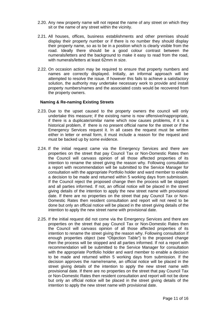- 2.20. Any new property name will not repeat the name of any street on which they sit or the name of any street within the vicinity.
- 2.21. All houses, offices, business establishments and other premises should display their property number or if there is no number they should display their property name, so as to be in a position which is clearly visible from the road. Ideally there should be a good colour contrast between the numerals/letters and the background to make it easy to read from the road, with numerals/letters at least 62mm in size.
- 2.22. On occasion action may be required to ensure that property numbers and names are correctly displayed. Initially, an informal approach will be attempted to resolve the issue. If however this fails to achieve a satisfactory solution, the authority may undertake necessary work to provide and install property numbers/names and the associated costs would be recovered from the property owners.

#### **Naming & Re-naming Existing Streets**

- 2.23. Due to the upset caused to the property owners the council will only undertake this measure; if the existing name is now offensive/inappropriate, if there is a duplicate/similar name which now causes problems, if it is a historical problem, if there is no present official name for the street or if the Emergency Services request it. In all cases the request must be written either in letter or email form, it must include a reason for the request and must be backed up by some evidence.
- 2.24. If the initial request came via the Emergency Services and there are properties on the street that pay Council Tax or Non-Domestic Rates then the Council will canvass opinion of all those affected properties of its intention to rename the street giving the reason why. Following consultation a report with recommendation will be submitted to the Service Manager for consultation with the appropriate Portfolio holder and ward member to enable a decision to be made and returned within 5 working days from submission. If the Council reject the proposed change then the process will be stopped and all parties informed. If not, an official notice will be placed in the street giving details of the intention to apply the new street name with provisional date. If there are no properties on the street that pay Council Tax or Non-Domestic Rates then resident consultation and report will not need to be done but only an official notice will be placed in the street giving details of the intention to apply the new street name with provisional date.
- 2.25. If the initial request did not come via the Emergency Services and there are properties on the street that pay Council Tax or Non-Domestic Rates then the Council will canvass opinion of all those affected properties of its intention to rename the street giving the reason why. Following consultation if enough properties object (see "Objection Table") to the proposed change then the process will be stopped and all parties informed. If not a report with recommendation will be submitted to the Service Manager for consultation with the appropriate Portfolio holder and ward member to enable a decision to be made and returned within 5 working days from submission. If the decision approves the name/rename, an official notice will be placed in the street giving details of the intention to apply the new street name with provisional date. If there are no properties on the street that pay Council Tax or Non-Domestic Rates then resident consultation and report will not be done but only an official notice will be placed in the street giving details of the intention to apply the new street name with provisional date.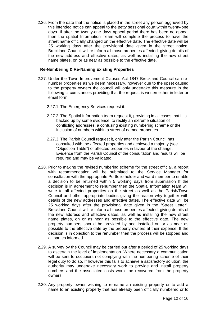2.26. From the date that the notice is placed in the street any person aggrieved by this intended notice can appeal to the petty sessional court within twenty-one days. If after the twenty-one days appeal period there has been no appeal then the spatial Information Team will complete the process to have the street name officially changed on the effective date. The effective date will be 25 working days after the provisional date given in the street notice. Breckland Council will re-inform all those properties affected, giving details of the new address and effective dates, as well as installing the new street name plates, on or as near as possible to the effective date.

#### **Re-Numbering & Re-Naming Existing Properties**

- 2.27. Under the Town Improvement Clauses Act 1847 Breckland Council can renumber properties as we deem necessary, however due to the upset caused to the property owners the council will only undertake this measure in the following circumstances providing that the request is written either in letter or email form.
	- 2.27.1. The Emergency Services request it.
	- 2.27.2. The Spatial Information team request it, providing in all cases that it is backed up by some evidence, to rectify an extreme situation of conflicting addresses, a confusing existing numbering scheme or the inclusion of numbers within a street of named properties.
	- 2.27.3. The Parish Council request it, only after the Parish Council has consulted with the affected properties and achieved a majority (see "Objection Table") of affected properties in favour of the change. Evidence from the Parish Council of the consultation and results will be required and may be validated.
- 2.28. Prior to making the revised numbering scheme for the street official, a report with recommendation will be submitted to the Service Manager for consultation with the appropriate Portfolio holder and ward member to enable a decision to be returned within 5 working days from submission If the decision is in agreement to renumber then the Spatial Information team will write to all affected properties on the street as well as the Parish/Town Council and other appropriate bodies giving the reason why together with details of the new addresses and effective dates. The effective date will be 25 working days after the provisional date given in the "Street Letter". Breckland Council will re-inform all those properties affected, giving details of the new address and effective dates, as well as installing the new street name plates, on or as near as possible to the effective date. The new property numbers should be provided by and installed on or as near as possible to the effective date by the property owners at their expense. If the decision is in objection to the renumber then the process will be stopped and all parties informed.
- 2.29. A survey by the Council may be carried out after a period of 25 working days to ascertain the level of implementation. Where necessary a communication will be sent to occupiers not complying with the numbering scheme of their legal duty to do so. If however this fails to achieve a satisfactory solution, the authority may undertake necessary work to provide and install property numbers and the associated costs would be recovered from the property owners.
- 2.30. Any property owner wishing to re-name an existing property or to add a name to an existing property that has already been officially numbered or to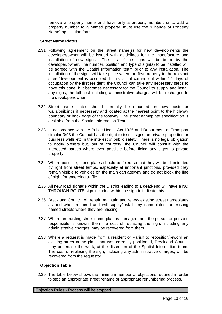remove a property name and have only a property number, or to add a property number to a named property, must use the "Change of Property Name" application form.

#### **Street Name Plates**

- 2.31. Following agreement on the street name(s) for new developments the developer/owner will be issued with guidelines for the manufacture and installation of new signs. The cost of the signs will be borne by the developer/owner. The number, position and type of sign(s) to be installed will be agreed with the Spatial Information team prior to any installation. The installation of the signs will take place when the first property in the relevant street/development is occupied. If this is not carried out within 14 days of occupation by the first resident, the Council can take any necessary steps to have this done. If it becomes necessary for the Council to supply and install any signs, the full cost including administrative charges will be recharged to the developer/owner.
- 2.32. Street name plates should normally be mounted on new posts or walls/buildings if necessary and located at the nearest point to the highway boundary or back edge of the footway. The street nameplate specification is available from the Spatial Information Team.
- 2.33. In accordance with the Public Health Act 1925 and Department of Transport circular 3/93 the Council has the right to install signs on private properties or business walls etc in the interest of public safety. There is no legal obligation to notify owners but, out of courtesy, the Council will consult with the interested parties where ever possible before fixing any signs to private property.
- 2.34. Where possible, name plates should be fixed so that they will be illuminated by light from street lamps, especially at important junctions, provided they remain visible to vehicles on the main carriageway and do not block the line of sight for emerging traffic.
- 2.35. All new road signage within the District leading to a dead-end will have a NO THROUGH ROUTE sign included within the sign to indicate this.
- 2.36. Breckland Council will repair, maintain and renew existing street nameplates as and when required and will supply/install any nameplates for existing named streets where they are missing.
- 2.37. Where an existing street name plate is damaged, and the person or persons responsible is known, then the cost of replacing the sign, including any administrative charges, may be recovered from them.
- 2.38. Where a request is made from a resident or Parish to reposition/reword an existing street name plate that was correctly positioned, Breckland Council may undertake the work, at the discretion of the Spatial Information team. The cost of replacing the sign, including any administrative charges, will be recovered from the requestor.

#### **Objection Table**

2.39. The table below shows the minimum number of objections required in order to stop an appropriate street rename or appropriate renumbering process.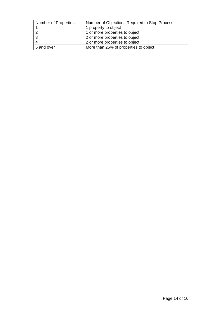| Number of Properties | Number of Objections Required to Stop Process |
|----------------------|-----------------------------------------------|
|                      | 1 property to object                          |
|                      | 1 or more properties to object                |
|                      | 2 or more properties to object                |
|                      | 2 or more properties to object                |
| 5 and over           | More than 25% of properties to object         |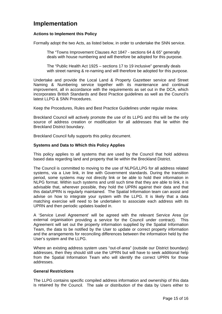### <span id="page-14-0"></span>**Implementation**

#### **Actions to Implement this Policy**

Formally adopt the two Acts, as listed below, in order to undertake the SNN service.

The "Towns Improvement Clauses Act 1847 - sections 64 & 65" generally deals with house numbering and will therefore be adopted for this purpose.

The "Public Health Act 1925 – sections 17 to 19 inclusive" generally deals with street naming & re-naming and will therefore be adopted for this purpose.

Undertake and provide the Local Land & Property Gazetteer service and Street Naming & Numbering service together with its maintenance and continual improvement, all in accordance with the requirements as set out in the DCA, which incorporates British Standards and Best Practice guidelines as well as the Council's latest LLPG & SNN Procedures.

Keep the Procedures, Rules and Best Practice Guidelines under regular review.

Breckland Council will actively promote the use of its LLPG and this will be the only source of address creation or modification for all addresses that lie within the Breckland District boundary.

Breckland Council fully supports this policy document.

#### **Systems and Data to Which this Policy Applies**

This policy applies to all systems that are used by the Council that hold address based data regarding land and property that lie within the Breckland District.

The Council is committed to moving to the use of NLPG/LLPG for all address related systems, via a Live link, in line with Government standards. During the transition period, some systems may not directly link or be able to hold their information in NLPG format. Within such systems and until such time that they are able to link, it is advisable that, wherever possible, they hold the UPRN against their data and that this data/UPRN is regularly maintained. The Spatial Information team can assist and advise on how to integrate your system with the LLPG. It is likely that a data matching exercise will need to be undertaken to associate each address with its UPRN and then periodic updates loaded in.

A 'Service Level Agreement' will be agreed with the relevant Service Area (or external organisation providing a service for the Council under contract). This Agreement will set out the property information supplied by the Spatial Information Team, the data to be notified by the User to update or correct property information and the arrangements for reconciling differences between the information held by the User's system and the LLPG.

Where an existing address system uses "out-of-area" (outside our District boundary) addresses, then they should still use the UPRN but will have to seek additional help from the Spatial Information Team who will identify the correct UPRN for those addresses.

#### **General Restrictions**

The LLPG contains specific compiled address information and ownership of this data is retained by the Council. The sale or distribution of the data by Users either to